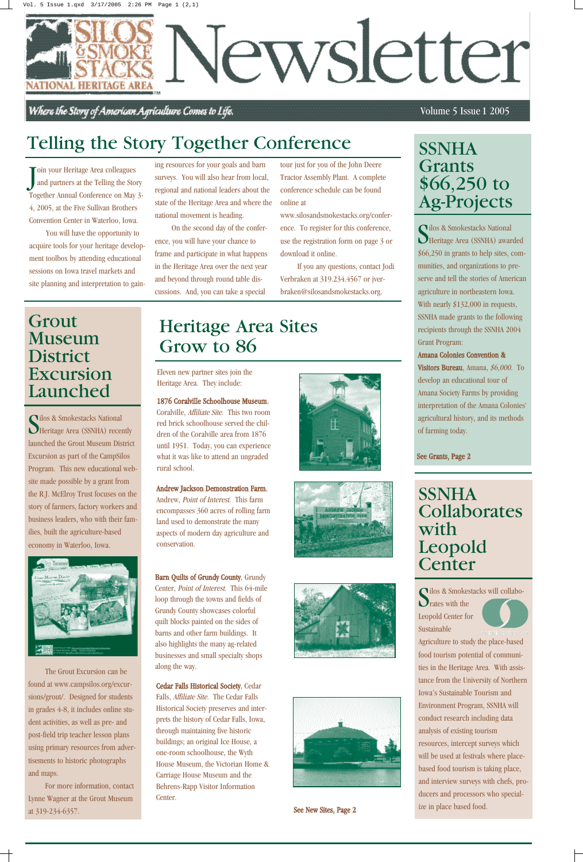### Volume 5 Issue 1 2005

Silos & Smokestacks National<br>Se Heritage Area (SSNHA) awarded *<u>Dilos & Smokestacks</u>* National \$66,250 in grants to help sites, communities, and organizations to preserve and tell the stories of American agriculture in northeastern Iowa. With nearly \$132,000 in requests, SSNHA made grants to the following recipients through the SSNHA 2004 Grant Program:

### Amana Colonies Convention &

Visitors Bureau, Amana, \$6,000. To develop an educational tour of Amana Society Farms by providing interpretation of the Amana Colonies' agricultural history, and its methods of farming today.

# SSNHA Grants \$66,250 to Ag-Projects

# Heritage Area Sites Grow to 86

1876 Coralville Schoolhouse Museum, Coralville, Affiliate Site. This two room red brick schoolhouse served the children of the Coralville area from 1876 until 1951. Today, you can experience what it was like to attend an ungraded rural school.

Andrew Jackson Demonstration Farm, Andrew, Point of Interest. This farm encompasses 360 acres of rolling farm land used to demonstrate the many aspects of modern day agriculture and conservation.

Silos & Smokestacks National Heritage Area (SSNHA) recently launched the Grout Museum District Excursion as part of the CampSilos Program. This new educational website made possible by a grant from the R.J. McElroy Trust focuses on the story of farmers, factory workers and business leaders, who with their families, built the agriculture-based economy in Waterloo, Iowa.



Barn Quilts of Grundy County, Grundy Center, Point of Interest. This 64-mile loop through the towns and fields of Grundy County showcases colorful quilt blocks painted on the sides of barns and other farm buildings. It also highlights the many ag-related businesses and small specialty shops along the way.







Silos & Smokes ilos & Smokestacks will collabo-Leopold Center for



Cedar Falls Historical Society, Cedar Falls, Affiliate Site. The Cedar Falls Historical Society preserves and interprets the history of Cedar Falls, Iowa, through maintaining five historic buildings; an original Ice House, a one-room schoolhouse, the Wyth House Museum, the Victorian Home & Carriage House Museum and the Behrens-Rapp Visitor Information Center.



# SSNHA Collaborates with Leopold **Center**

Join your Heritage Area colleagues<br>and partners at the Telling the Sto and partners at the Telling the Story Together Annual Conference on May 3- 4, 2005, at the Five Sullivan Brothers Convention Center in Waterloo, Iowa.

> Eleven new partner sites join the Heritage Area. They include:

> > See New Sites, Page 2

### See Grants, Page 2

The Grout Excursion can be found at www.campsilos.org/excursions/grout/. Designed for students in grades 4-8, it includes online student activities, as well as pre- and post-field trip teacher lesson plans using primary resources from advertisements to historic photographs and maps.

For more information, contact Lynne Wagner at the Grout Museum at 319-234-6357.

### Grout Museum District Excursion Launched

Sustainable Agriculture to study the place-based food tourism potential of communities in the Heritage Area. With assistance from the University of Northern Iowa's Sustainable Tourism and Environment Program, SSNHA will conduct research including data analysis of existing tourism resources, intercept surveys which will be used at festivals where placebased food tourism is taking place, and interview surveys with chefs, producers and processors who specialize in place based food.

You will have the opportunity to acquire tools for your heritage development toolbox by attending educational sessions on Iowa travel markets and site planning and interpretation to gaining resources for your goals and barn surveys. You will also hear from local, regional and national leaders about the state of the Heritage Area and where the national movement is heading.

On the second day of the conference, you will have your chance to frame and participate in what happens in the Heritage Area over the next year and beyond through round table discussions. And, you can take a special

tour just for you of the John Deere Tractor Assembly Plant. A complete conference schedule can be found online at

www.silosandsmokestacks.org/conference. To register for this conference, use the registration form on page 3 or download it online.

If you any questions, contact Jodi Verbraken at 319.234.4567 or jverbraken@silosandsmokestacks.org.

# Telling the Story Together Conference



Where the Story of American Agriculture Comes to Life.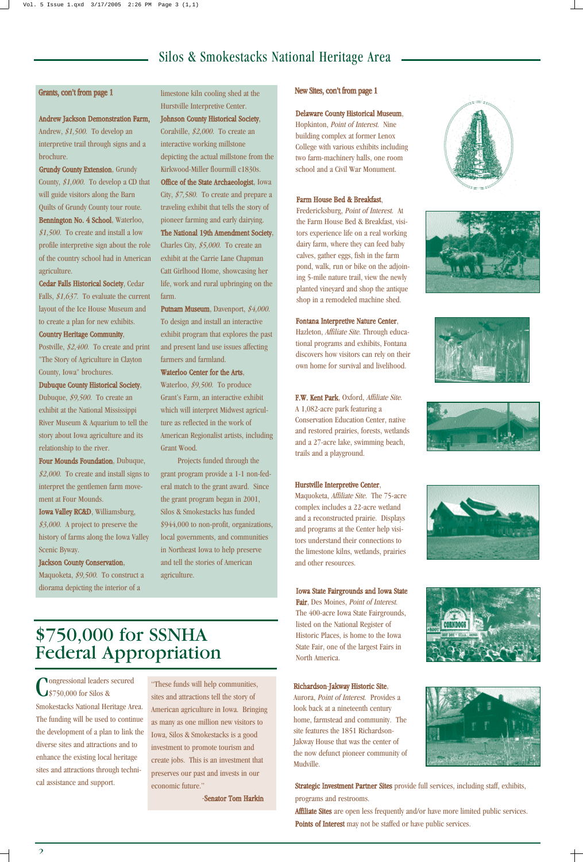### Silos & Smokestacks National Heritage Area

#### New Sites, con't from page 1

F.W. Kent Park, Oxford, Affiliate Site. A 1,082-acre park featuring a Conservation Education Center, native and restored prairies, forests, wetlands and a 27-acre lake, swimming beach, trails and a playground.

#### Hurstville Interpretive Center,

Maquoketa, Affiliate Site. The 75-acre complex includes a 22-acre wetland and a reconstructed prairie. Displays and programs at the Center help visitors understand their connections to the limestone kilns, wetlands, prairies and other resources.

Iowa State Fairgrounds and Iowa State Fair, Des Moines, Point of Interest. The 400-acre Iowa State Fairgrounds, listed on the National Register of Historic Places, is home to the Iowa State Fair, one of the largest Fairs in North America.

Richardson-Jakway Historic Site, Aurora, Point of Interest. Provides a look back at a nineteenth century home, farmstead and community. The site features the 1851 Richardson-Jakway House that was the center of the now defunct pioneer community of



Mudville.













#### Delaware County Historical Museum,

Hopkinton, Point of Interest. Nine building complex at former Lenox College with various exhibits including two farm-machinery halls, one room school and a Civil War Monument.

#### Fontana Interpretive Nature Center,

Hazleton, Affiliate Site. Through educational programs and exhibits, Fontana discovers how visitors can rely on their own home for survival and livelihood.

#### Farm House Bed & Breakfast,

Fredericksburg, Point of Interest. At the Farm House Bed & Breakfast, visitors experience life on a real working dairy farm, where they can feed baby calves, gather eggs, fish in the farm pond, walk, run or bike on the adjoining 5-mile nature trail, view the newly planted vineyard and shop the antique shop in a remodeled machine shed.

Maquoketa, \$9,500. To construct a diorama depicting the interior of a

> Strategic Investment Partner Sites provide full services, including staff, exhibits, programs and restrooms.

Affiliate Sites are open less frequently and/or have more limited public services. Points of Interest may not be staffed or have public services.

Putnam Museum, Davenport, \$4,000. To design and install an interactive exhibit program that explores the past and present land use issues affecting farmers and farmland.

#### Andrew Jackson Demonstration Farm,

Andrew, \$1,500. To develop an interpretive trail through signs and a brochure.

Grundy County Extension, Grundy County,  $$1,000$ . To develop a CD that will guide visitors along the Barn Quilts of Grundy County tour route. Bennington No. 4 School, Waterloo,  $$1,500$ . To create and install a low profile interpretive sign about the role of the country school had in American

**Nongressional leaders secured** \$750,000 for Silos & Smokestacks National Heritage Area. The funding will be used to continue the development of a plan to link the diverse sites and attractions and to enhance the existing local heritage sites and attractions through technical assistance and support.

agriculture.

Cedar Falls Historical Society, Cedar Falls, \$1,637. To evaluate the current layout of the Ice House Museum and to create a plan for new exhibits. Country Heritage Community,

Postville, \$2,400. To create and print "The Story of Agriculture in Clayton County, Iowa" brochures. Dubuque County Historical Society,

Dubuque, \$9,500. To create an exhibit at the National Mississippi River Museum & Aquarium to tell the story about Iowa agriculture and its relationship to the river.

Four Mounds Foundation, Dubuque,  $$2,000$ . To create and install signs to interpret the gentlemen farm movement at Four Mounds.

Iowa Valley RC&D, Williamsburg,  $$3,000$ . A project to preserve the history of farms along the Iowa Valley Scenic Byway.

Jackson County Conservation,

limestone kiln cooling shed at the Hurstville Interpretive Center. Johnson County Historical Society, Coralville, \$2,000. To create an

interactive working millstone depicting the actual millstone from the Kirkwood-Miller flourmill c1830s. Office of the State Archaeologist, Iowa City, \$7,580. To create and prepare a traveling exhibit that tells the story of pioneer farming and early dairying. The National 19th Amendment Society, Charles City, \$5,000. To create an exhibit at the Carrie Lane Chapman Catt Girlhood Home, showcasing her life, work and rural upbringing on the farm.

Waterloo Center for the Arts,

Waterloo, \$9,500. To produce Grant's Farm, an interactive exhibit which will interpret Midwest agriculture as reflected in the work of American Regionalist artists, including Grant Wood.

Projects funded through the grant program provide a 1-1 non-federal match to the grant award. Since the grant program began in 2001, Silos & Smokestacks has funded \$944,000 to non-profit, organizations, local governments, and communities in Northeast Iowa to help preserve and tell the stories of American agriculture.

### Grants, con't from page 1

### \$750,000 for SSNHA Federal Appropriation

"These funds will help communities, sites and attractions tell the story of American agriculture in Iowa. Bringing as many as one million new visitors to Iowa, Silos & Smokestacks is a good investment to promote tourism and create jobs. This is an investment that preserves our past and invests in our economic future."

-Senator Tom Harkin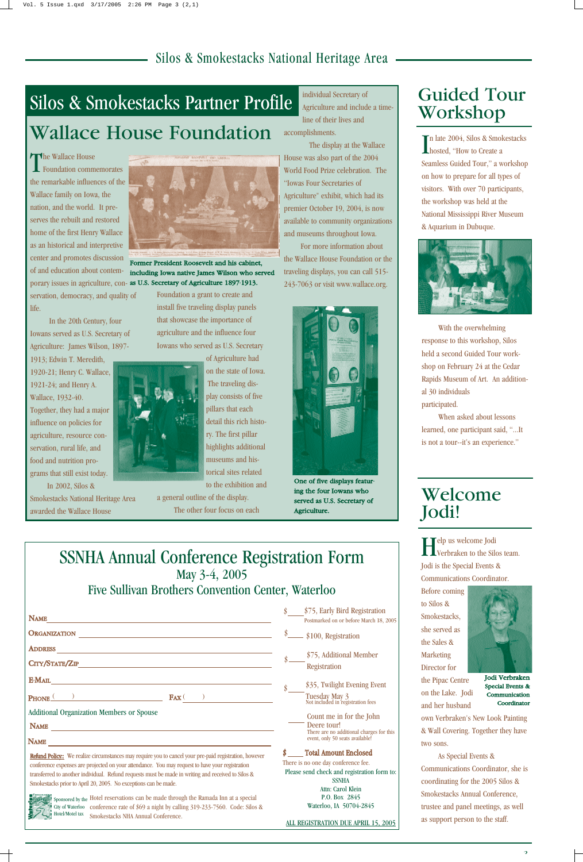### SSNHA Annual Conference Registration Form May 3-4, 2005 Five Sullivan Brothers Convention Center, Waterloo

In late 2004, Silos & Smokestacks<br>hosted, "How to Create a hosted, "How to Create a Seamless Guided Tour," a workshop on how to prepare for all types of visitors. With over 70 participants, the workshop was held at the National Mississippi River Museum & Aquarium in Dubuque.



With the overwhelming response to this workshop, Silos held a second Guided Tour workshop on February 24 at the Cedar Rapids Museum of Art. An additional 30 individuals participated.

The Wallace House Foundation commemorates the remarkable influences of the Wallace family on Iowa, the nation, and the world. It preserves the rebuilt and restored home of the first Henry Wallace as an historical and interpretive center and promotes discussion of and education about contemservation, democracy, and quality of life.

> When asked about lessons learned, one participant said, "...It is not a tour--it's an experience."

In the 20th Century, four Iowans served as U.S. Secretary of Agriculture: James Wilson, 1897-

1913; Edwin T. Meredith, 1920-21; Henry C. Wallace, 1921-24; and Henry A. Wallace, 1932-40. Together, they had a major influence on policies for agriculture, resource conservation, rural life, and food and nutrition programs that still exist today.

In 2002, Silos &

Smokestacks National Heritage Area awarded the Wallace House

Foundation a grant to create and install five traveling display panels that showcase the importance of agriculture and the influence four Iowans who served as U.S. Secretary



of Agriculture had on the state of Iowa. The traveling display consists of five pillars that each detail this rich history. The first pillar highlights additional museums and historical sites related to the exhibition and

> Jodi Verbraken Special Events & Communication **Coordinator**

a general outline of the display. The other four focus on each individual Secretary of



porary issues in agriculture, con- as U.S. Secretary of Agriculture 1897-1913. Former President Roosevelt and his cabinet, including Iowa native James Wilson who served

Agriculture and include a timeline of their lives and accomplishments.

The display at the Wallace House was also part of the 2004 World Food Prize celebration. The "Iowas Four Secretaries of Agriculture" exhibit, which had its premier October 19, 2004, is now available to community organizations and museums throughout Iowa.

| <b>ORGANIZATION</b>                                                                                    | \$100, Registration                                                         |
|--------------------------------------------------------------------------------------------------------|-----------------------------------------------------------------------------|
| <b>ADDRESS</b>                                                                                         | \$75, Additional Member                                                     |
| CITY/STATE/ZIP                                                                                         | <b>Registration</b>                                                         |
| <b>E-MAIL</b>                                                                                          | \$35, Twilight Evening Event                                                |
| $\mathbf{F}$ AX $\left($<br>PHONE                                                                      | Tuesday May 3<br>Not included in registration fees                          |
| <b>Additional Organization Members or Spouse</b>                                                       | Count me in for the John                                                    |
| <b>NAME</b>                                                                                            | Deere tour!                                                                 |
| <b>NAME</b>                                                                                            | There are no additional charges for this<br>event, only 50 seats available! |
| Refund Policy:: We realize circumstances may require you to cancel your pre-paid registration, however | <b>Total Amount Enclosed</b>                                                |
| conference expenses are projected on your attendance. You may request to have your registration        | There is no one day conference fee.                                         |
| transferred to another individual. Refund requests must be made in writing and received to Silos &     | Please send check and registration form to:<br><b>SSNHA</b>                 |
| Smokestacks prior to April 20, 2005. No exceptions can be made.                                        | Attn: Carol Klein                                                           |
| Sponsored by the Hotel reservations can be made through the Ramada Inn at a special                    | P.O. Box 2845                                                               |
| City of Waterloo conference rate of \$69 a night by calling 319-233-7560. Code: Silos &                | Waterloo, IA 50704-2845                                                     |
| Hotel/Motel tax<br>Smokestacks NHA Annual Conference.                                                  | ALL REGISTRATION DUE APRIL 15, 2005                                         |

For more information about the Wallace House Foundation or the traveling displays, you can call 515- 243-7063 or visit www.wallace.org.

# Silos & Smokestacks Partner Profile Wallace House Foundation

### Silos & Smokestacks National Heritage Area

# Guided Tour Workshop

NAME

\$75, Early Bird Registration Postmarked on or before March 18, 2005

Help us welcome Jodi Verbraken to the Silos team. Jodi is the Special Events & Communications Coordinator.

Before coming to Silos & Smokestacks, she served as

the Sales & Marketing Director for the Pipac Centre on the Lake. Jodi and her husband



own Verbraken's New Look Painting & Wall Covering. Together they have two sons.

As Special Events & Communications Coordinator, she is coordinating for the 2005 Silos & Smokestacks Annual Conference, trustee and panel meetings, as well as support person to the staff.

### Welcome Jodi!



One of five displays featuring the four Iowans who served as U.S. Secretary of Agriculture.

\$